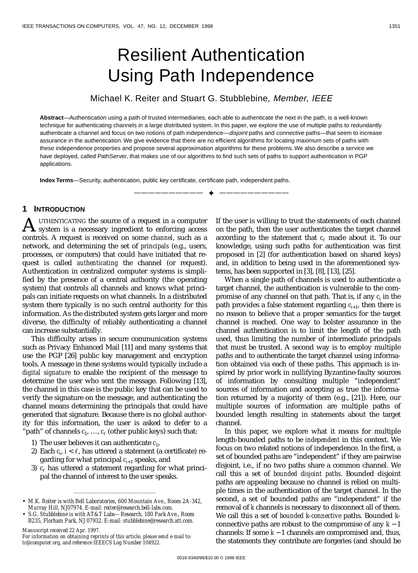# Resilient Authentication Using Path Independence

## Michael K. Reiter and Stuart G. Stubblebine, Member, IEEE

**Abstract**—Authentication using a path of trusted intermediaries, each able to authenticate the next in the path, is a well-known technique for authenticating channels in a large distributed system. In this paper, we explore the use of multiple paths to redundantly authenticate a channel and focus on two notions of path independence—disjoint paths and connective paths—that seem to increase assurance in the authentication. We give evidence that there are no efficient algorithms for locating maximum sets of paths with these independence properties and propose several approximation algorithms for these problems. We also describe a service we have deployed, called PathServer, that makes use of our algorithms to find such sets of paths to support authentication in PGP applications.

——————————F——————————

**Index Terms**—Security, authentication, public key certificate, certificate path, independent paths.

## **1 INTRODUCTION**

UTHENTICATING the source of a request in a computer A UTHENTICATING the source of a request in a computer<br>system is a necessary ingredient to enforcing access controls. A request is received on some *channel*, such as a network, and determining the set of *principals* (e.g., users, processes, or computers) that could have initiated that request is called *authenticating* the channel (or request). Authentication in centralized computer systems is simplified by the presence of a central authority (the operating system) that controls all channels and knows what principals can initiate requests on what channels. In a distributed system there typically is no such central authority for this information. As the distributed system gets larger and more diverse, the difficulty of reliably authenticating a channel can increase substantially.

This difficulty arises in secure communication systems such as Privacy Enhanced Mail [11] and many systems that use the PGP [26] public key management and encryption tools. A message in these systems would typically include a *digital signature* to enable the recipient of the message to determine the user who sent the message. Following [13], the channel in this case is the public key that can be used to verify the signature on the message, and authenticating the channel means determining the principals that could have generated that signature. Because there is no global authority for this information, the user is asked to defer to a "path" of channels  $c_1$ , ...,  $c_\ell$  (other public keys) such that:

- 1) The user believes it can authenticate  $c_1$ ,
- 2) Each  $c_i$ ,  $i < \ell$ , has uttered a statement (a certificate) regarding for what principal *ci*+1 speaks, and
- 3)  $c_{\ell}$  has uttered a statement regarding for what principal the channel of interest to the user speaks.
- ²²²²²²²²²²²²²²²² • *M.K. Reiter is with Bell Laboratories, 600 Mountain Ave., Room 2A-342, Murray Hill, NJ07974. E-mail: reiter@research.bell-labs.com.*
- *S.G. Stubblebine is with AT&T Labs—Research, 180 Park Ave., Room B235, Florham Park, NJ 07932. E-mail: stubblebine@research.att.com.*

*Manuscript received 22 Apr. 1997. For information on obtaining reprints of this article, please send e-mail to: tc@computer.org, and reference IEEECS Log Number 104922.*

If the user is willing to trust the statements of each channel on the path, then the user authenticates the target channel according to the statement that  $c_{\ell}$  made about it. To our knowledge, using such paths for authentication was first proposed in [2] (for authentication based on shared keys) and, in addition to being used in the aforementioned systems, has been supported in [3], [8], [13], [25].

When a single path of channels is used to authenticate a target channel, the authentication is vulnerable to the compromise of any channel on that path. That is, if any  $c_i$  in the path provides a false statement regarding  $c_{i+1}$ , then there is no reason to believe that a proper semantics for the target channel is reached. One way to bolster assurance in the channel authentication is to limit the length of the path used, thus limiting the number of intermediate principals that must be trusted. A second way is to employ multiple paths and to authenticate the target channel using information obtained via each of these paths. This approach is inspired by prior work in nullifying Byzantine-faulty sources of information by consulting multiple "independent" sources of information and accepting as true the information returned by a majority of them (e.g., [21]). Here, our multiple sources of information are multiple paths of bounded length resulting in statements about the target channel.

In this paper, we explore what it means for multiple length-bounded paths to be *independent* in this context. We focus on two related notions of independence. In the first, a set of bounded paths are "independent" if they are pairwise disjoint, i.e., if no two paths share a common channel. We call this a set of *bounded disjoint paths*. Bounded disjoint paths are appealing because no channel is relied on multiple times in the authentication of the target channel. In the second, a set of bounded paths are "independent" if the removal of *k* channels is necessary to disconnect all of them. We call this a set of *bounded k-connective* paths. Bounded *k*connective paths are robust to the compromise of any *k* − 1 channels: If some *k* − 1 channels are compromised and, thus, the statements they contribute are forgeries (and should be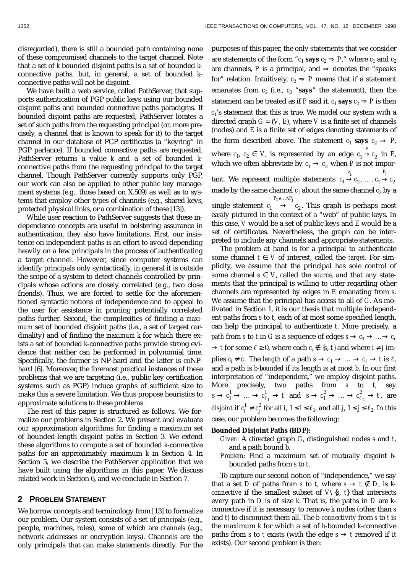disregarded), there is still a bounded path containing none of these compromised channels to the target channel. Note that a set of *k* bounded disjoint paths is a set of bounded *k*connective paths, but, in general, a set of bounded *k*connective paths will not be disjoint.

We have built a web service, called PathServer, that supports authentication of PGP public keys using our bounded disjoint paths and bounded connective paths paradigms. If bounded disjoint paths are requested, PathServer locates a set of such paths from the requesting principal (or, more precisely, a channel that is known to speak for it) to the target channel in our database of PGP certificates (a "keyring" in PGP parlance). If bounded connective paths are requested, PathServer returns a value *k* and a set of bounded *k*connective paths from the requesting principal to the target channel. Though PathServer currently supports only PGP, our work can also be applied to other public key management systems (e.g., those based on X.509) as well as to systems that employ other types of channels (e.g., shared keys, protected physical links, or a combination of these [13]).

While user reaction to PathServer suggests that these independence concepts are useful in bolstering assurance in authentication, they also have limitations. First, our insistence on independent paths is an effort to avoid depending heavily on a few principals in the process of authenticating a target channel. However, since computer systems can identify principals only syntactically, in general it is outside the scope of a system to detect channels controlled by principals whose actions are closely correlated (e.g., two close friends). Thus, we are forced to settle for the aforementioned syntactic notions of independence and to appeal to the user for assistance in pruning potentially correlated paths further. Second, the complexities of finding a *maximum* set of bounded disjoint paths (i.e., a set of largest cardinality) and of finding the *maximum k* for which there exists a set of bounded *k*-connective paths provide strong evidence that neither can be performed in polynomial time. Specifically, the former is NP-hard and the latter is coNPhard [6]. Moreover, the foremost practical instances of these problems that we are targeting (i.e., public key certification systems such as PGP) induce graphs of sufficient size to make this a severe limitation. We thus propose heuristics to approximate solutions to these problems.

The rest of this paper is structured as follows. We formalize our problems in Section 2. We present and evaluate our approximation algorithms for finding a maximum set of bounded-length disjoint paths in Section 3. We extend these algorithms to compute a set of bounded *k*-connective paths for an approximately maximum *k* in Section 4. In Section 5, we describe the PathServer application that we have built using the algorithms in this paper. We discuss related work in Section 6, and we conclude in Section 7.

### **2 PROBLEM STATEMENT**

We borrow concepts and terminology from [13] to formalize our problem. Our system consists of a set of *principals* (e.g., people, machines, roles), some of which are *channels* (e.g., network addresses or encryption keys). Channels are the only principals that can make statements directly. For the purposes of this paper, the only statements that we consider are statements of the form " $c_1$  says  $c_2 \Rightarrow P$ ," where  $c_1$  and  $c_2$ are channels, *P* is a principal, and  $\Rightarrow$  denotes the "speaks" for" relation. Intuitively,  $c_2 \Rightarrow P$  means that if a statement emanates from  $c_2$  (i.e.,  $c_2$  "says" the statement), then the statement can be treated as if *P* said it.  $c_1$  says  $c_2 \Rightarrow P$  is then *c*1's statement that this is true. We model our system with a directed graph  $G = (V, E)$ , where V is a finite set of channels (nodes) and *E* is a finite set of edges denoting statements of the form described above. The statement  $c_1$  **says**  $c_2 \Rightarrow P$ , where  $c_1, c_2 \in V$ , is represented by an edge  $c_1 \rightarrow c_2$  in *E*, which we often abbreviate by  $c_1 \rightarrow c_2$  when *P* is not important. We represent multiple statements  $c_1 \rightarrow c_2, \ldots, c_1 \rightarrow c_1$  $P_1$  *P<sub>j</sub>*  $1$   $\rightarrow$   $\mathfrak{c}_2$ ,  $\ldots$ ,  $\mathfrak{c}_1$   $\rightarrow$   $\mathfrak{c}_2$  $\stackrel{r_1}{\rightarrow} c_2, \ldots, c_1 \stackrel{r_1}{\rightarrow}$ made by the same channel  $c_1$  about the same channel  $c_2$  by a single statement  $c_1 \rightarrow c$  $P_1 \wedge \ldots \wedge P_j$ 1  $\rightarrow$   $\mathfrak{c}_2$  $\stackrel{1 \wedge \cdots \wedge}{\rightarrow}$  $\wedge \ldots \wedge$ . This graph is perhaps most easily pictured in the context of a "web" of public keys. In this case, *V* would be a set of public keys and *E* would be a set of certificates. Nevertheless, the graph can be interpreted to include any channels and appropriate statements.

The problem at hand is for a principal to authenticate some channel  $t \in V$  of interest, called the *target*. For simplicity, we assume that the principal has sole control of some channel  $s \in V$ , called the *source*, and that any statements that the principal is willing to utter regarding other channels are represented by edges in *E* emanating from *s*. We assume that the principal has access to all of *G*. As motivated in Section 1, it is our thesis that multiple independent paths from *s* to *t*, each of at most some specified length, can help the principal to authenticate *t*. More precisely, a *path* from *s* to *t* in *G* is a sequence of edges  $s \rightarrow c_1 \rightarrow ... \rightarrow c_\ell$  $\rightarrow$  *t* for some  $\ell \geq 0$ , where each  $c_i \notin \{s, t\}$  and where  $i \neq j$  implies  $c_i \neq c_j$ . The *length* of a path  $s \to c_1 \to \ldots \to c_\ell \to t$  is  $\ell$ , and a path is *b-bounded* if its length is at most *b*. In our first interpretation of "independent," we employ disjoint paths. More precisely, two paths from *s* to *t*, say  $s \to c_1^1 \to \dots \to c_{\ell_1}^1 \to t$  and  $s \to c_1^2 \to \dots \to c_{\ell_2}^2 \to t$ , are *disjoint* if  $c_i^1 \neq c_j^2$  for all *i*,  $1 \leq i \leq \ell_1$ , and all *j*,  $1 \leq j \leq \ell_2$ . In this case, our problem becomes the following:

#### **Bounded Disjoint Paths (BDP):**

- *Given:* A directed graph *G*, distinguished nodes *s* and *t*, and a path bound *b*.
- *Problem:* Find a maximum set of mutually disjoint *b*bounded paths from *s* to *t*.

To capture our second notion of "independence," we say that a set *D* of paths from *s* to *t*, where  $s \rightarrow t \notin D$ , is *kconnective* if the smallest subset of  $V\{s, t\}$  that intersects every path in *D* is of size *k*. That is, the paths in *D* are *k*connective if it is necessary to remove *k* nodes (other than *s* and *t*) to disconnect them all. The *b-connectivity* from *s* to *t* is the maximum *k* for which a set of *b*-bounded *k*-connective paths from *s* to *t* exists (with the edge  $s \rightarrow t$  removed if it exists). Our second problem is then: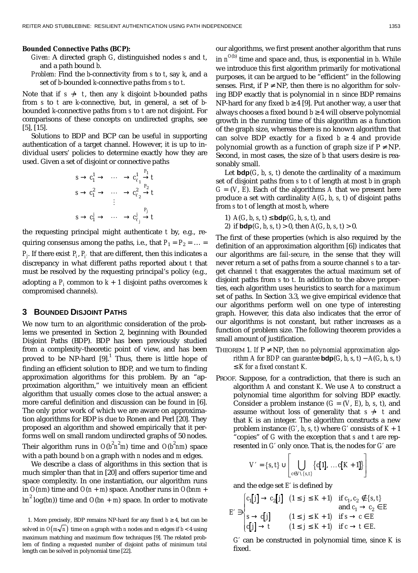#### **Bounded Connective Paths (BCP):**

*Given:* A directed graph *G*, distinguished nodes *s* and *t*, and a path bound *b*.

*Problem:* Find the *b*-connectivity from *s* to *t*, say *k*, and a set of *b*-bounded *k*-connective paths from *s* to *t*.

Note that if  $s \nightharpoonup t$ , then any *k* disjoint *b*-bounded paths from *s* to *t* are *k*-connective, but, in general, a set of *b*bounded *k*-connective paths from *s* to *t* are not disjoint. For comparisons of these concepts on undirected graphs, see [5], [15].

Solutions to BDP and BCP can be useful in supporting authentication of a target channel. However, it is up to individual users' policies to determine exactly how they are used. Given a set of disjoint or connective paths

$$
s \to c_1^1 \to \cdots \to c_{\ell_1}^1 \to t
$$
  
\n
$$
s \to c_1^2 \to \cdots \to c_{\ell_2}^2 \to t
$$
  
\n
$$
\vdots
$$
  
\n
$$
s \to c_1^j \to \cdots \to c_{\ell_j}^j \to t
$$

the requesting principal might authenticate *t* by, e.g., requiring consensus among the paths, i.e., that  $P_1 = P_2 = ... =$  $P_j$ . If there exist  $\,P_i, P_{i'}$  that are different, then this indicates a discrepancy in what different paths reported about *t* that must be resolved by the requesting principal's policy (e.g., adopting a *Pi* common to *k* + 1 disjoint paths overcomes *k* compromised channels).

## **3 BOUNDED DISJOINT PATHS**

We now turn to an algorithmic consideration of the problems we presented in Section 2, beginning with Bounded Disjoint Paths (BDP). BDP has been previously studied from a complexity-theoretic point of view, and has been proved to be NP-hard  $[9]$ .<sup>1</sup> Thus, there is little hope of finding an efficient solution to BDP, and we turn to finding approximation algorithms for this problem. By an "approximation algorithm," we intuitively mean an efficient algorithm that usually comes close to the actual answer; a more careful definition and discussion can be found in [6]. The only prior work of which we are aware on approximation algorithms for BDP is due to Ronen and Perl [20]. They proposed an algorithm and showed empirically that it performs well on small random undirected graphs of 50 nodes. Their algorithm runs in  $O(b^2n^2m)$  time and  $O(b^2nm)$  space with a path bound *b* on a graph with *n* nodes and *m* edges.

We describe a class of algorithms in this section that is much simpler than that in [20] and offers superior time and space complexity. In one instantiation, our algorithm runs in  $O(nm)$  time and  $O(n + m)$  space. Another runs in  $O(bnm + m)$  $bn^2 log(bn)$  time and  $O(bn + m)$  space. In order to motivate our algorithms, we first present another algorithm that runs in  $n^{O(b)}$  time and space and, thus, is exponential in  $b$ . While we introduce this first algorithm primarily for motivational purposes, it can be argued to be "efficient" in the following senses. First, if  $P \neq NP$ , then there is no algorithm for solving BDP exactly that is polynomial in *n* since BDP remains NP-hard for any fixed  $b \ge 4$  [9]. Put another way, a user that always chooses a fixed bound *b* ≥ 4 will observe polynomial growth in the running time of this algorithm as a function of the graph size, whereas there is no known algorithm that can solve BDP exactly for a fixed  $b \ge 4$  and provide polynomial growth as a function of graph size if  $P \neq NP$ . Second, in most cases, the size of *b* that users desire is reasonably small.

Let  $\text{bdp}(G, b, s, t)$  denote the cardinality of a maximum set of disjoint paths from *s* to *t* of length at most *b* in graph  $G = (V, E)$ . Each of the algorithms *A* that we present here produce a set with cardinality *A*(*G*, *b*, *s*, *t*) of disjoint paths from *s* to *t* of length at most *b*, where

- 1)  $A(G, b, s, t) \leq \text{bdp}(G, b, s, t)$ , and
- 2) if  $\text{bdp}(G, b, s, t) > 0$ , then  $A(G, b, s, t) > 0$ .

The first of these properties (which is also required by the definition of an approximation algorithm [6]) indicates that our algorithms are *fail-secure*, in the sense that they will never return a set of paths from a source channel *s* to a target channel *t* that exaggerates the actual maximum set of disjoint paths from *s* to *t*. In addition to the above properties, each algorithm uses heuristics to search for a *maximum* set of paths. In Section 3.3, we give empirical evidence that our algorithms perform well on one type of interesting graph. However, this data also indicates that the error of our algorithms is not constant, but rather increases as a function of problem size. The following theorem provides a small amount of justification.

- THEOREM 1. If  $P \neq NP$ , then no polynomial approximation algo*rithm A for BDP can guarantee*  $\text{bdp}(G, b, s, t) - A(G, b, s, t)$ ≤ *K for a fixed constant K.*
- PROOF. Suppose, for a contradiction, that there is such an algorithm *A* and constant *K*. We use *A* to construct a polynomial time algorithm for solving BDP exactly. Consider a problem instance  $(G = (V, E), b, s, t)$ , and assume without loss of generality that  $s \nightharpoonup t$  and that *K* is an integer. The algorithm constructs a new problem instance  $(G', b, s, t)$  where  $G'$  consists of  $K + 1$ "copies" of *G* with the exception that *s* and *t* are represented in *G*′ only once. That is, the nodes for *G*′ are

$$
V' = \{s, t\} \cup \left[\bigcup_{c \in V \setminus \{s, t\}} \left\{c[1], \dots c[K+1]\right\}\right]
$$

and the edge set *E*′ is defined by

 $\Gamma$ 

$$
E \ni \begin{cases} c_1[j] \rightarrow c_2[j] & (1 \le j \le K+1) & \text{if } c_1, c_2 \notin \{s, t\} \\ \text{and } c_1 \rightarrow c_2 \in E \\ s \rightarrow d[j] & (1 \le j \le K+1) & \text{if } s \rightarrow c \in E \\ d[j] \rightarrow t & (1 \le j \le K+1) & \text{if } c \rightarrow t \in E. \end{cases}
$$

*G*′ can be constructed in polynomial time, since *K* is fixed.

<sup>1.</sup> More precisely, BDP remains NP-hard for any fixed  $b \ge 4$ , but can be solved in  $O(m\sqrt{n})$  time on a graph with *n* nodes and *m* edges if *b* < 4 using maximum matching and maximum flow techniques [9]. The related problem of finding a requested number of disjoint paths of minimum *total* length can be solved in polynomial time [22].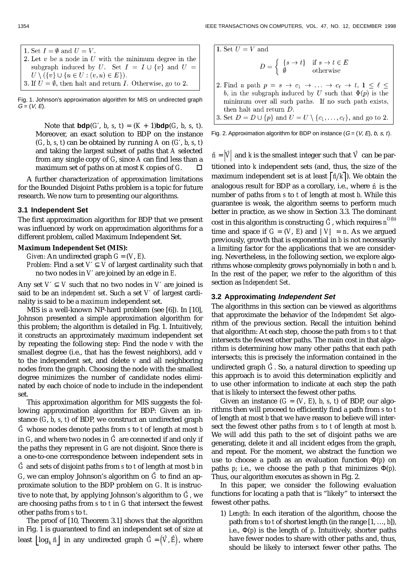1. Set  $I = \emptyset$  and  $U = V$ . 2. Let  $v$  be a node in  $U$  with the minimum degree in the subgraph induced by U. Set  $I = I \cup \{v\}$  and  $U =$  $U \setminus (\{v\} \cup \{u \in U : (v, u) \in E\}).$ 3. If  $U = \emptyset$ , then halt and return *I*. Otherwise, go to 2.

Fig. 1. Johnson's approximation algorithm for MIS on undirected graph  $G = (V, E).$ 

Note that  $\text{bdp}(G', b, s, t) = (K + 1)\text{bdp}(G, b, s, t).$ Moreover, an exact solution to BDP on the instance  $(G, b, s, t)$  can be obtained by running A on  $(G', b, s, t)$ and taking the largest subset of paths that *A* selected from any single copy of *G*, since *A* can find less than a maximum set of paths on at most  $K$  copies of  $G$ .

A further characterization of approximation limitations for the Bounded Disjoint Paths problem is a topic for future research. We now turn to presenting our algorithms.

#### **3.1 Independent Set**

The first approximation algorithm for BDP that we present was influenced by work on approximation algorithms for a different problem, called Maximum Independent Set.

#### **Maximum Independent Set (MIS):**

*Given:* An undirected graph *G* = (*V*, *E*).

*Problem:* Find a set  $V \subseteq V$  of largest cardinality such that no two nodes in *V*′ are joined by an edge in *E*.

Any set  $V \subseteq V$  such that no two nodes in  $V'$  are joined is said to be an *independent set*. Such a set *V*′ of largest cardinality is said to be a *maximum* independent set.

MIS is a well-known NP-hard problem (see [6]). In [10], Johnson presented a simple approximation algorithm for this problem; the algorithm is detailed in Fig. 1. Intuitively, it constructs an approximately maximum independent set by repeating the following step: Find the node *v* with the smallest degree (i.e., that has the fewest neighbors), add *v* to the independent set, and delete *v* and all neighboring nodes from the graph. Choosing the node with the smallest degree minimizes the number of candidate nodes eliminated by each choice of node to include in the independent set.

This approximation algorithm for MIS suggests the following approximation algorithm for BDP: Given an instance (*G*, *b*, *s*, *t*) of BDP, we construct an undirected graph *G*\$ whose nodes denote paths from *s* to *t* of length at most *b* in *G*, and where two nodes in  $\hat{G}$  are connected if and only if the paths they represent in *G* are not disjoint. Since there is a one-to-one correspondence between independent sets in  $\hat{G}$  and sets of disjoint paths from *s* to *t* of length at most *b* in *G*, we can employ Johnson's algorithm on  $\hat{G}$  to find an approximate solution to the BDP problem on *G*. It is instructive to note that, by applying Johnson's algorithm to  $\tilde{G}$ , we are choosing paths from *s* to *t* in *G* that intersect the fewest other paths from *s* to *t*.

The proof of [10, Theorem 3.1] shows that the algorithm in Fig. 1 is guaranteed to find an independent set of size at least  $\log_k \hat{n}$  in any undirected graph  $\hat{G} = (\hat{V}, \hat{E})$ , where

\n- 1. Set 
$$
U = V
$$
 and
\n- $D = \begin{cases} \{s \to t\} & \text{if } s \to t \in E \\ \emptyset & \text{otherwise} \end{cases}$
\n- 2. Find a path  $p = s \to c_1 \to \ldots \to c_\ell \to t, 1 \leq \ell \leq b$ , in the subgraph induced by  $U$  such that  $\Phi(p)$  is the minimum over all such paths. If no such path exists, then halt and return  $D$ .
\n

3. Set  $D = D \cup \{p\}$  and  $U = U \setminus \{c_1, \ldots, c_\ell\}$ , and go to 2.

 $< \ell <$ 

exists.

Fig. 2. Approximation algorithm for BDP on instance  $(G = (V, E), b, s, t)$ .

 $\hat{n} = |\hat{V}|$  and *k* is the smallest integer such that  $\hat{V}$  can be partitioned into *k* independent sets (and, thus, the size of the maximum independent set is at least  $\lceil \hat{n}/k \rceil$ ). We obtain the analogous result for BDP as a corollary, i.e., where  $\hat{n}$  is the number of paths from *s* to *t* of length at most *b*. While this guarantee is weak, the algorithm seems to perform much better in practice, as we show in Section 3.3. The dominant cost in this algorithm is constructing  $\hat{G}$  , which requires  $n^{O(b)}$ time and space if  $G = (V, E)$  and  $|V| = n$ . As we argued previously, growth that is exponential in *b* is not necessarily a limiting factor for the applications that we are considering. Nevertheless, in the following section, we explore algorithms whose complexity grows polynomially in both *n* and *b*. In the rest of the paper, we refer to the algorithm of this section as *Independent Set*.

#### **3.2 Approximating Independent Set**

The algorithms in this section can be viewed as algorithms that approximate the behavior of the *Independent Set* algorithm of the previous section. Recall the intuition behind that algorithm: At each step, choose the path from *s* to *t* that intersects the fewest other paths. The main cost in that algorithm is determining how many other paths that each path intersects; this is precisely the information contained in the undirected graph  $\tilde{G}$ . So, a natural direction to speeding up this approach is to avoid this determination explicitly and to use other information to indicate at each step the path that is likely to intersect the fewest other paths.

Given an instance  $(G = (V, E), b, s, t)$  of BDP, our algorithms then will proceed to efficiently find a path from *s* to *t* of length at most *b* that we have reason to believe will intersect the fewest other paths from *s* to *t* of length at most *b*. We will add this path to the set of disjoint paths we are generating, delete it and all incident edges from the graph, and repeat. For the moment, we abstract the function we use to choose a path as an evaluation function Φ(*p*) on paths *p*; i.e., we choose the path *p* that minimizes  $\Phi(p)$ . Thus, our algorithm executes as shown in Fig. 2.

In this paper, we consider the following evaluation functions for locating a path that is "likely" to intersect the fewest other paths.

1) *Length:* In each iteration of the algorithm, choose the path from *s* to *t* of shortest length (in the range [1, …, *b*]), i.e.,  $\Phi(p)$  is the length of *p*. Intuitively, shorter paths have fewer nodes to share with other paths and, thus, should be likely to intersect fewer other paths. The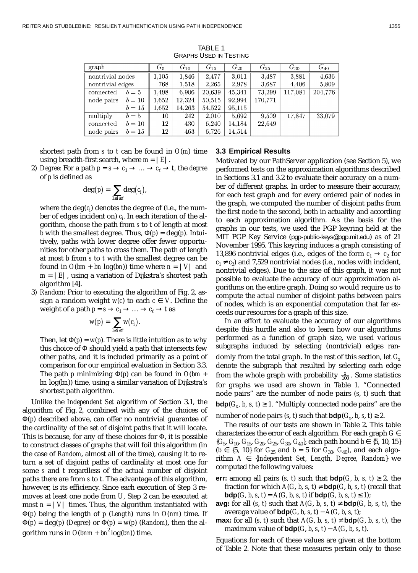| graph            | $G_{5}$ | $G_{10}$ | $G_{15}$ | $G_{20}$ | $G_{25}$ | $G_{30}$ | $G_{40}$ |         |
|------------------|---------|----------|----------|----------|----------|----------|----------|---------|
| nontrivial nodes |         | 1,105    | 1,846    | 2,477    | 3.011    | 3,487    | 3,881    | 4,636   |
| nontrivial edges |         | 768      | 1,518    | 2.265    | 2,978    | 3.687    | 4,406    | 5,809   |
| connected        | $b=5$   | 1.498    | 6.906    | 20.639   | 45,341   | 73.299   | 117.081  | 204.776 |
| node pairs       | $b=10$  | 1,652    | 12,324   | 50,515   | 92,994   | 170,771  |          |         |
|                  | $b=15$  | 1,652    | 14.263   | 54,522   | 95,115   |          |          |         |
| multiply         | $b=5$   | 10       | 242      | 2,010    | 5,692    | 9,509    | 17,847   | 33,079  |
| connected        | $b=10$  | 12       | 430      | 6.240    | 14,184   | 22,649   |          |         |
| node pairs       | $b=15$  | 12       | 463      | 6.726    | 14,514   |          |          |         |

TABLE 1 GRAPHS USED IN TESTING

shortest path from *s* to *t* can be found in *O*(*m*) time using breadth-first search, where  $m = |E|$ .

2) *Degree:* For a path  $p = s \rightarrow c_1 \rightarrow \dots \rightarrow c_\ell \rightarrow t$ , the *degree* of *p* is defined as

$$
\deg(p) = \sum_{1 \leq i \leq \ell} \deg(c_i),
$$

where the deg(*ci* ) denotes the degree of (i.e., the number of edges incident on)  $c_{i\cdot}$  In each iteration of the algorithm, choose the path from *s* to *t* of length at most *b* with the smallest degree. Thus,  $\Phi(p) = \deg(p)$ . Intuitively, paths with lower degree offer fewer opportunities for other paths to cross them. The path of length at most *b* from *s* to *t* with the smallest degree can be found in  $O(bm + bn \log(bn))$  time where  $n = |V|$  and  $m = |E|$ , using a variation of Dijkstra's shortest path algorithm [4].

3) *Random:* Prior to executing the algorithm of Fig. 2, assign a random weight  $w(c)$  to each  $c \in V$ . Define the weight of a path  $p = s \rightarrow c_1 \rightarrow \dots \rightarrow c_\ell \rightarrow t$  as

$$
w(p) = \sum_{1 \leq i \leq \ell} w(c_i).
$$

Then, let  $\Phi(p) = w(p)$ . There is little intuition as to why this choice of Φ should yield a path that intersects few other paths, and it is included primarily as a point of comparison for our empirical evaluation in Section 3.3. The path *p* minimizing  $\Phi(p)$  can be found in  $O(bm + 1)$ *bn* log(*bn*)) time, using a similar variation of Dijkstra's shortest path algorithm.

Unlike the *Independent Set* algorithm of Section 3.1, the algorithm of Fig. 2, combined with any of the choices of Φ(*p*) described above, can offer no nontrivial guarantee of the cardinality of the set of disjoint paths that it will locate. This is because, for any of these choices for Φ, it is possible to construct classes of graphs that will foil this algorithm (in the case of *Random*, almost all of the time), causing it to return a set of disjoint paths of cardinality at most one for some *s* and *t* regardless of the actual number of disjoint paths there are from *s* to *t*. The advantage of this algorithm, however, is its efficiency. Since each execution of Step 3 removes at least one node from *U*, Step 2 can be executed at most  $n = |V|$  times. Thus, the algorithm instantiated with Φ(*p*) being the length of *p* (*Length*) runs in *O*(*nm*) time. If  $\Phi(p) = \deg(p)$  (*Degree*) or  $\Phi(p) = w(p)$  (*Random*), then the algorithm runs in  $O(bnm + bn^2 \log(bn))$  time.

#### **3.3 Empirical Results**

Motivated by our PathServer application (see Section 5), we performed tests on the approximation algorithms described in Sections 3.1 and 3.2 to evaluate their accuracy on a number of different graphs. In order to measure their accuracy, for each test graph and for every ordered pair of nodes in the graph, we computed the number of disjoint paths from the first node to the second, both in actuality and according to each approximation algorithm. As the basis for the graphs in our tests, we used the PGP keyring held at the MIT PGP Key Service (pgp-public-keys@pgp.mit.edu) as of 21 November 1995. This keyring induces a graph consisting of 13,896 nontrivial edges (i.e., edges of the form  $c_1 \rightarrow c_2$  for  $c_1 \neq c_2$ ) and 7,529 nontrivial nodes (i.e., nodes with incident, nontrivial edges). Due to the size of this graph, it was not possible to evaluate the accuracy of our approximation algorithms on the entire graph. Doing so would require us to compute the *actual* number of disjoint paths between pairs of nodes, which is an exponential computation that far exceeds our resources for a graph of this size.

In an effort to evaluate the accuracy of our algorithms despite this hurdle and also to learn how our algorithms performed as a function of graph size, we used various subgraphs induced by selecting (nontrivial) edges randomly from the total graph. In the rest of this section, let *Gx* denote the subgraph that resulted by selecting each edge from the whole graph with probability  $\frac{x}{100}$ . Some statistics for graphs we used are shown in Table 1. "Connected node pairs" are the number of node pairs (*s*, *t*) such that **bdp**( $G_x$ , *b*, *s*, *t*)  $\geq$  1. "Multiply connected node pairs" are the number of node pairs  $(s, t)$  such that  $\text{bdp}(G_x, b, s, t) \geq 2$ .

The results of our tests are shown in Table 2. This table characterizes the error of each algorithm. For each graph *G* ∈  ${G_5, G_{10}, G_{15}, G_{20}, G_{25}, G_{30}, G_{40}}$ , each path bound  $b \in \{5, 10, 15\}$  $(b ∈ {5, 10}$  for  $G_{25}$  and  $b = 5$  for  $G_{30}$ ,  $G_{40}$ ), and each algo-

rithm *A* ∈ {*Independent Set*, *Length*, *Degree*, *Random*} we computed the following values:

- **err:** among all pairs  $(s, t)$  such that  $\text{bdp}(G, b, s, t) \geq 2$ , the fraction for which  $A(G, b, s, t) \neq \text{bdp}(G, b, s, t)$  (recall that **bdp**(*G*, *b*, *s*, *t*) =  $A(G, b, s, t)$  if **bdp**(*G*, *b*, *s*, *t*) ≤ 1);
- **avg**: for all  $(s, t)$  such that  $A(G, b, s, t) \neq \text{bdp}(G, b, s, t)$ , the average value of **bdp**(*G*, *b*, *s*, *t*) –  $A(G, b, s, t)$ ;
- **max:** for all  $(s, t)$  such that  $A(G, b, s, t) \neq \text{bdp}(G, b, s, t)$ , the maximum value of  $\text{bdp}(G, b, s, t) - A(G, b, s, t)$ .

Equations for each of these values are given at the bottom of Table 2. Note that these measures pertain only to those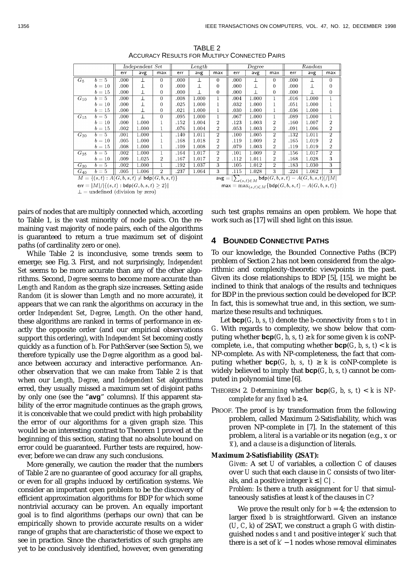|                                                            |        | Independent Set |       |                  | Length |       |                | Degree                                                                                         |       |                | Random |       |                |  |
|------------------------------------------------------------|--------|-----------------|-------|------------------|--------|-------|----------------|------------------------------------------------------------------------------------------------|-------|----------------|--------|-------|----------------|--|
|                                                            |        | err             | avg   | max              | err    | avg   | max            | err                                                                                            | avg   | max            | err    | avg   | max            |  |
| $G_5$                                                      | $b=5$  | .000            |       | $\theta$         | .000   |       | 0              | .000                                                                                           |       | 0              | .000   |       | 0              |  |
|                                                            | $b=10$ | .000            |       | $\theta$         | .000   |       | 0              | .000                                                                                           |       | $\overline{0}$ | .000   |       | $\theta$       |  |
|                                                            | $b=15$ | .000            |       | $\theta$         | .000   |       | 0              | .000                                                                                           |       | $\bf{0}$       | .000   |       | 0              |  |
| $G_{10}$                                                   | $b=5$  | .000            |       | $\theta$         | .008   | 1.000 | 1              | .004                                                                                           | 1.000 | 1              | .016   | 1.000 |                |  |
|                                                            | $b=10$ | .000            |       | $\bf{0}$         | .025   | 1.000 | 1              | .032                                                                                           | 1.000 | 1              | .051   | 1.000 |                |  |
|                                                            | $b=15$ | .000            |       | $\boldsymbol{0}$ | .021   | 1.000 | 1              | .030                                                                                           | 1.000 | 1              | .036   | 1.000 | 1              |  |
| $G_{15}$                                                   | $b=5$  | .000            |       | $\theta$         | .095   | 1.000 |                | .067                                                                                           | 1.000 | 1              | .089   | 1.000 | 1              |  |
|                                                            | $b=10$ | .000            | 1.000 | 1                | .152   | 1.004 | $\overline{2}$ | .123                                                                                           | 1.003 | $\overline{2}$ | .160   | 1.007 | $\overline{2}$ |  |
|                                                            | $b=15$ | .002            | 1.000 | 1                | .076   | 1.004 | 2              | .053                                                                                           | 1.003 | 2              | .091   | 1.006 | $\overline{2}$ |  |
| $G_{20}$                                                   | $b=5$  | .001            | 1.000 | 1                | .140   | 1.011 | $\overline{2}$ | .100                                                                                           | 1.005 | $\overline{2}$ | .132   | 1.011 | $\overline{2}$ |  |
|                                                            | $b=10$ | .005            | 1.000 | 1                | .168   | 1.018 | $\overline{2}$ | .119                                                                                           | 1.009 | $\overline{2}$ | .165   | 1.019 | $\overline{2}$ |  |
|                                                            | $b=15$ | .008            | 1.000 | 1                | .109   | 1.008 | 2              | .079                                                                                           | 1.003 | $\overline{2}$ | .119   | 1.019 | $\overline{2}$ |  |
| $G_{25}$                                                   | $b=5$  | .002            | 1.000 | $\bar{1}$        | .164   | 1.017 | 2              | .101                                                                                           | 1.009 | $\overline{2}$ | .156   | 1.017 | $\overline{2}$ |  |
|                                                            | $b=10$ | .009            | 1.025 | $\overline{2}$   | .167   | 1.017 | 2              | .112                                                                                           | 1.011 | $\overline{2}$ | .168   | 1.028 | 3              |  |
| $G_{30}$                                                   | $b=5$  | .002            | 1.000 | $\mathbf{1}$     | .192   | 1.037 | 3              | .105                                                                                           | 1.012 | 2              | .183   | 1.030 | 3              |  |
| $\overline{G}_{40}$                                        | $b=5$  | .005            | 1.006 | $\overline{2}$   | .237   | 1.064 | 3              | .115                                                                                           | 1.028 | 3              | 224    | 1.062 | 3              |  |
| $= \{(s,t): A(G,b,s,t) \neq \mathsf{bdp}(G,b,s,t)\}\$<br>М |        |                 |       |                  |        |       |                | $\mathsf{avg} = [\sum_{(s,t) \in M} \mathsf{bdp}(G, b, s, t) - A \overline{(G, b, s, t)}]/ M $ |       |                |        |       |                |  |
| $err =  M / \{(s,t): bdp(G,b,s,t) > 2\} $                  |        |                 |       |                  |        |       |                | $\mathsf{max} = \max_{(s,t) \in M} \{ \mathsf{bdp}(G,b,s,t) - A(G,b,s,t) \}$                   |       |                |        |       |                |  |

TABLE 2 ACCURACY RESULTS FOR MULTIPLY CONNECTED PAIRS

 $\perp$  = undefined (division by zero)

pairs of nodes that are multiply connected which, according to Table 1, is the vast minority of node pairs. On the remaining vast majority of node pairs, each of the algorithms is guaranteed to return a true maximum set of disjoint paths (of cardinality zero or one).

While Table 2 is inconclusive, some trends seem to emerge; see Fig. 3. First, and not surprisingly, *Independent Set* seems to be more accurate than any of the other algorithms. Second, *Degree* seems to become more accurate than *Length* and *Random* as the graph size increases. Setting aside *Random* (it is slower than *Length* and no more accurate), it appears that we can rank the algorithms on accuracy in the order *Independent Set*, *Degree*, *Length*. On the other hand, these algorithms are ranked in terms of performance in exactly the opposite order (and our empirical observations support this ordering), with *Independent Set* becoming costly quickly as a function of *b*. For PathServer (see Section 5), we therefore typically use the *Degree* algorithm as a good balance between accuracy and interactive performance. Another observation that we can make from Table 2 is that when our *Length*, *Degree*, and *Independent Set* algorithms erred, they usually missed a maximum set of disjoint paths by only one (see the "**avg**" columns). If this apparent stability of the error magnitude continues as the graph grows, it is conceivable that we could predict with high probability the error of our algorithms for a given graph size. This would be an interesting contrast to Theorem 1 proved at the beginning of this section, stating that no absolute bound on error could be guaranteed. Further tests are required, however, before we can draw any such conclusions.

More generally, we caution the reader that the numbers of Table 2 are no guarantee of good accuracy for all graphs, or even for all graphs induced by certification systems. We consider an important open problem to be the discovery of efficient approximation algorithms for BDP for which some nontrivial accuracy can be proven. An equally important goal is to find algorithms (perhaps our own) that can be empirically shown to provide accurate results on a wider range of graphs that are characteristic of those we expect to see in practice. Since the characteristics of such graphs are yet to be conclusively identified, however, even generating such test graphs remains an open problem. We hope that work such as [17] will shed light on this issue.

## **4 BOUNDED CONNECTIVE PATHS**

To our knowledge, the Bounded Connective Paths (BCP) problem of Section 2 has not been considered from the algorithmic and complexity-theoretic viewpoints in the past. Given its close relationships to BDP [5], [15], we might be inclined to think that analogs of the results and techniques for BDP in the previous section could be developed for BCP. In fact, this is somewhat true and, in this section, we summarize these results and techniques.

Let  $\mathbf{bcp}(G, b, s, t)$  denote the *b*-connectivity from *s* to *t* in *G*. With regards to complexity, we show below that computing whether **bcp**(*G*, *b*, *s*, *t*)  $\geq$  *k* for some given *k* is coNPcomplete, i.e., that computing whether  $bcp(G, b, s, t) < k$  is NP-complete. As with NP-completeness, the fact that computing whether **bcp**(*G*, *b*, *s*, *t*)  $\geq k$  is coNP-complete is widely believed to imply that  $bcp(G, b, s, t)$  cannot be computed in polynomial time [6].

THEOREM 2. Determining whether  $bcp(G, b, s, t) < k$  is NP*complete for any fixed*  $b \geq 4$ .

PROOF. The proof is by transformation from the following problem, called Maximum 2-Satisfiability, which was proven NP-complete in [7]. In the statement of this problem, a *literal* is a variable or its negation (e.g., *x* or  $\bar{x}$ ), and a *clause* is a disjunction of literals.

**Maximum 2-Satisfiability (2SAT):**

*Given:* A set *U* of variables, a collection *C* of clauses over *U* such that each clause in *C* consists of two literals, and a positive integer  $k \leq |C|$ .

*Problem:* Is there a truth assignment for *U* that simultaneously satisfies at least *k* of the clauses in *C*?

We prove the result only for  $b = 4$ ; the extension to larger fixed *b* is straightforward. Given an instance (*U*, *C*, *k*) of 2SAT, we construct a graph *G* with distinguished nodes *s* and *t* and positive integer *k*′ such that there is a set of *k*′ − 1 nodes whose removal eliminates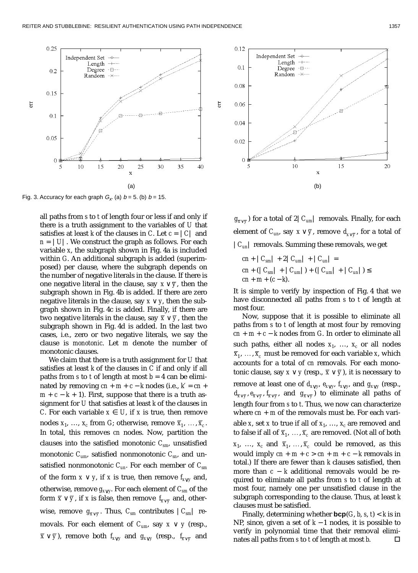

Fig. 3. Accuracy for each graph  $G_x$ . (a)  $b = 5$ . (b)  $b = 15$ .

all paths from *s* to *t* of length four or less if and only if there is a truth assignment to the variables of *U* that satisfies at least *k* of the clauses in *C*. Let  $c = |C|$  and  $n = |U|$ . We construct the graph as follows. For each variable *x*, the subgraph shown in Fig. 4a is included within *G*. An additional subgraph is added (superimposed) per clause, where the subgraph depends on the number of negative literals in the clause. If there is one negative literal in the clause, say  $x \vee \overline{y}$ , then the subgraph shown in Fig. 4b is added. If there are zero negative literals in the clause, say  $x \vee y$ , then the subgraph shown in Fig. 4c is added. Finally, if there are two negative literals in the clause, say  $\bar{x} \vee \bar{y}$ , then the subgraph shown in Fig. 4d is added. In the last two cases, i.e., zero or two negative literals, we say the clause is *monotonic*. Let *m* denote the number of monotonic clauses.

We claim that there is a truth assignment for *U* that satisfies at least *k* of the clauses in *C* if and only if all paths from *s* to *t* of length at most  $b = 4$  can be eliminated by removing  $cn + m + c - k$  nodes (i.e.,  $k' = cn +$  $m + c - k + 1$ ). First, suppose that there is a truth assignment for *U* that satisfies at least *k* of the clauses in *C*. For each variable  $x \in U$ , if *x* is true, then remove nodes  $x_1, \ldots, x_c$  from *G*; otherwise, remove  $\overline{x}_1, \ldots, \overline{x}_c$ . In total, this removes *cn* nodes. Now, partition the clauses into the satisfied monotonic  $C_{\text{sm}}$ , unsatisfied monotonic  $C_{um}$ , satisfied nonmonotonic  $C_{sm}$ , and unsatisfied nonmonotonic *Cun*. For each member of *Csm* of the form *x*  $\vee$  *y*, if *x* is true, then remove  $f_{x\vee y}$  and, otherwise, remove *gx*∨*y*. For each element of *Csm* of the form  $\overline{x}\vee \overline{y}$  , if *x* is false, then remove  $f_{\overline{x}\vee \overline{y}}$  and, otherwise, remove  $g_{\overline{x} \vee \overline{y}}$ . Thus,  $C_{\text{sm}}$  contributes  $|C_{\text{sm}}|$  removals. For each element of  $C_{um}$ , say  $x \vee y$  (resp.,  $\overline{x} \vee \overline{y}$ ), remove both  $f_{x \vee y}$  and  $g_{x \vee y}$  (resp.,  $f_{\overline{x} \vee \overline{y}}$  and



 $g_{\overline{x} \vee \overline{v}}$ ) for a total of 2 |  $C_{um}$  | removals. Finally, for each element of  $C_{un}$ , say  $x \vee \overline{y}$ , remove  $d_{x \vee \overline{y}}$ , for a total of |*Cun*| removals. Summing these removals, we get

 $cn + |C_{sm}| + 2|C_{um}| + |C_{un}| =$ *cn* + ( $|C_{sm}|$  +  $|C_{um}|$ ) + ( $|C_{um}|$  +  $|C_{un}|$ ) ≤  $cn + m + (c - k)$ .

It is simple to verify by inspection of Fig. 4 that we have disconnected all paths from *s* to *t* of length at most four.

Now, suppose that it is possible to eliminate all paths from *s* to *t* of length at most four by removing *cn* + *m* + *c* − *k* nodes from *G*. In order to eliminate all such paths, either all nodes  $x_1$ , ...,  $x_c$  or all nodes  $\bar{x}_1, \ldots, \bar{x}_c$  must be removed for each variable *x*, which accounts for a total of *cn* removals. For each monotonic clause, say  $x \vee y$  (resp.,  $\overline{x} \vee \overline{y}$ ), it is necessary to remove at least one of  $d_{x \vee y}$ ,  $e_{x \vee y}$ ,  $f_{x \vee y}$ , and  $g_{x \vee y}$  (resp.,  $d_{\overline{x}\vee\overline{y}}$ ,  $e_{\overline{x}\vee\overline{y}}$ ,  $f_{\overline{x}\vee\overline{y}}$ , and  $g_{\overline{x}\vee\overline{y}}$  to eliminate all paths of length four from *s* to *t*. Thus, we now can characterize where *cn* + *m* of the removals must be. For each variable *x*, set *x* to true if all of  $x_1, \ldots, x_c$  are removed and to false if all of  $\bar{x}_1, \ldots, \bar{x}_c$  are removed. (Not all of both  $x_1, \ldots, x_c$  and  $\overline{x}_1, \ldots, \overline{x}_c$  could be removed, as this would imply  $cn + m + c > cn + m + c - k$  removals in total.) If there are fewer than *k* clauses satisfied, then more than  $c - k$  additional removals would be required to eliminate all paths from *s* to *t* of length at most four, namely one per unsatisfied clause in the subgraph corresponding to the clause. Thus, at least *k* clauses must be satisfied.

Finally, determining whether  $bcp(G, b, s, t) < k$  is in NP, since, given a set of *k* − 1 nodes, it is possible to verify in polynomial time that their removal eliminates all paths from *s* to *t* of length at most  $b$ .  $\Box$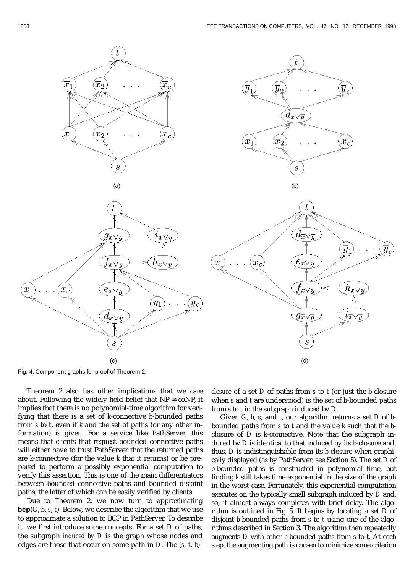

Fig. 4. Component graphs for proof of Theorem 2.

Theorem 2 also has other implications that we care about. Following the widely held belief that  $NP \neq coNP$ , it implies that there is no polynomial-time algorithm for verifying that there is a set of *k*-connective *b*-bounded paths from *s* to *t*, even if *k* and the set of paths (or any other information) is given. For a service like PathServer, this means that clients that request bounded connective paths will either have to trust PathServer that the returned paths are *k*-connective (for the value *k* that it returns) or be prepared to perform a possibly exponential computation to verify this assertion. This is one of the main differentiators between bounded connective paths and bounded disjoint paths, the latter of which can be easily verified by clients.

Due to Theorem 2, we now turn to approximating  $\mathbf{bcp}(G, b, s, t)$ . Below, we describe the algorithm that we use to approximate a solution to BCP in PathServer. To describe it, we first introduce some concepts. For a set *D* of paths, the subgraph *induced by D* is the graph whose nodes and edges are those that occur on some path in *D*. The *(s, t, b)-*

*closure* of a set *D* of paths from *s* to *t* (or just the *b*-closure when *s* and *t* are understood) is the set of *b*-bounded paths from *s* to *t* in the subgraph induced by *D*.

Given *G*, *b*, *s*, and *t*, our algorithm returns a set *D* of *b*bounded paths from *s* to *t* and the value *k* such that the *b*closure of *D* is *k*-connective. Note that the subgraph induced by *D* is identical to that induced by its *b*-closure and, thus, *D* is indistinguishable from its *b*-closure when graphically displayed (as by PathServer; see Section 5). The set *D* of *b*-bounded paths is constructed in polynomial time, but finding *k* still takes time exponential in the size of the graph in the worst case. Fortunately, this exponential computation executes on the typically small subgraph induced by *D* and, so, it almost always completes with brief delay. The algorithm is outlined in Fig. 5. It begins by locating a set *D* of disjoint *b*-bounded paths from *s* to *t* using one of the algorithms described in Section 3. The algorithm then repeatedly augments *D* with other *b*-bounded paths from *s* to *t*. At each step, the augmenting path is chosen to minimize some criterion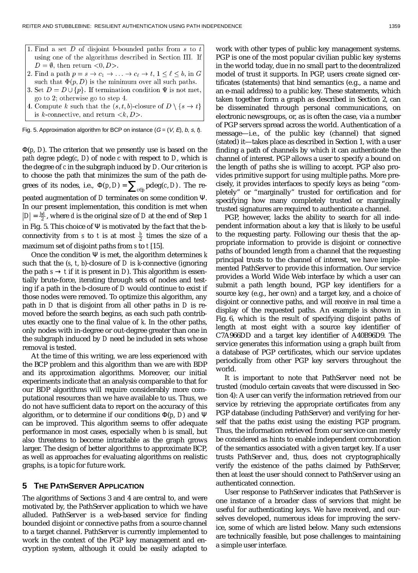- 1. Find a set  $D$  of disjoint b-bounded paths from  $s$  to  $t$ using one of the algorithms described in Section III. If  $D = \emptyset$ , then return <0, D>.
- 2. Find a path  $p = s \rightarrow c_1 \rightarrow \ldots \rightarrow c_{\ell} \rightarrow t, 1 \leq \ell \leq b$ , in G such that  $\Phi(p, D)$  is the minimum over all such paths.
- 3. Set  $D = D \cup \{p\}$ . If termination condition  $\Psi$  is not met, go to 2; otherwise go to step 4.
- 4. Compute k such that the  $(s, t, b)$ -closure of  $D \setminus \{s \to t\}$ is k-connective, and return  $\langle k, D \rangle$ .

Fig. 5. Approximation algorithm for BCP on instance ( $G = (V, E)$ , b, s, t).

Φ(*p*, *D*). The criterion that we presently use is based on the *path degree* pdeg(*c*, *D*) of node *c* with respect to *D*, which is the degree of *c* in the subgraph induced by *D*. Our criterion is to choose the path that minimizes the sum of the path degrees of its nodes, i.e.,  $\Phi(p, D) = \sum_{c \in p} \text{pdeg}(c, D)$ . The repeated augmentation of *D* terminates on some condition Ψ. In our present implementation, this condition is met when  $|D| = \frac{bd}{2}$ , where *d* is the original size of *D* at the end of Step 1 in Fig. 5. This choice of Ψ is motivated by the fact that the *b*connectivity from *s* to *t* is at most  $\frac{b}{2}$  times the size of a maximum set of disjoint paths from *s* to *t* [15].

Once the condition Ψ is met, the algorithm determines *k* such that the (*s*, *t*, *b*)-closure of *D* is *k*-connective (ignoring the path  $s \rightarrow t$  if it is present in *D*). This algorithm is essentially brute-force, iterating through sets of nodes and testing if a path in the *b*-closure of *D* would continue to exist if those nodes were removed. To optimize this algorithm, any path in *D* that is disjoint from all other paths in *D* is removed before the search begins, as each such path contributes exactly one to the final value of *k*. In the other paths, only nodes with in-degree or out-degree greater than one in the subgraph induced by *D* need be included in sets whose removal is tested.

At the time of this writing, we are less experienced with the BCP problem and this algorithm than we are with BDP and its approximation algorithms. Moreover, our initial experiments indicate that an analysis comparable to that for our BDP algorithms will require considerably more computational resources than we have available to us. Thus, we do not have sufficient data to report on the accuracy of this algorithm, or to determine if our conditions Φ(*p*, *D*) and Ψ can be improved. This algorithm seems to offer adequate performance in most cases, especially when *b* is small, but also threatens to become intractable as the graph grows larger. The design of better algorithms to approximate BCP, as well as approaches for evaluating algorithms on realistic graphs, is a topic for future work.

## **5 THE PATHSERVER APPLICATION**

The algorithms of Sections 3 and 4 are central to, and were motivated by, the PathServer application to which we have alluded. PathServer is a web-based service for finding bounded disjoint or connective paths from a source channel to a target channel. PathServer is currently implemented to work in the context of the PGP key management and encryption system, although it could be easily adapted to work with other types of public key management systems. PGP is one of the most popular civilian public key systems in the world today, due in no small part to the decentralized model of trust it supports. In PGP, users create signed certificates (statements) that bind semantics (e.g., a name and an e-mail address) to a public key. These statements, which taken together form a graph as described in Section 2, can be disseminated through personal communications, on electronic newsgroups, or, as is often the case, via a number of PGP servers spread across the world. Authentication of a message—i.e., of the public key (channel) that signed (stated) it—takes place as described in Section 1, with a user finding a path of channels by which it can authenticate the channel of interest. PGP allows a user to specify a bound on the length of paths she is willing to accept. PGP also provides primitive support for using multiple paths. More precisely, it provides interfaces to specify keys as being "completely" or "marginally" trusted for certification and for specifying how many completely trusted or marginally trusted signatures are required to authenticate a channel.

PGP, however, lacks the ability to search for all independent information about a key that is likely to be useful to the requesting party. Following our thesis that the appropriate information to provide is disjoint or connective paths of bounded length from a channel that the requesting principal trusts to the channel of interest, we have implemented PathServer to provide this information. Our service provides a World Wide Web interface by which a user can submit a path length bound, PGP key identifiers for a source key (e.g., her own) and a target key, and a choice of disjoint or connective paths, and will receive in real time a display of the requested paths. An example is shown in Fig. 6, which is the result of specifying disjoint paths of length at most eight with a source key identifier of C7A966DD and a target key identifier of A40B96D9. The service generates this information using a graph built from a database of PGP certificates, which our service updates periodically from other PGP key servers throughout the world.

It is important to note that PathServer need not be trusted (modulo certain caveats that were discussed in Section 4): A user can verify the information retrieved from our service by retrieving the appropriate certificates from any PGP database (including PathServer) and verifying for herself that the paths exist using the existing PGP program. Thus, the information retrieved from our service can merely be considered as hints to enable independent corroboration of the semantics associated with a given target key. If a user trusts PathServer and, thus, does not cryptographically verify the existence of the paths claimed by PathServer, then at least the user should connect to PathServer using an authenticated connection.

User response to PathServer indicates that PathServer is one instance of a broader class of services that might be useful for authenticating keys. We have received, and ourselves developed, numerous ideas for improving the service, some of which are listed below. Many such extensions are technically feasible, but pose challenges to maintaining a simple user interface.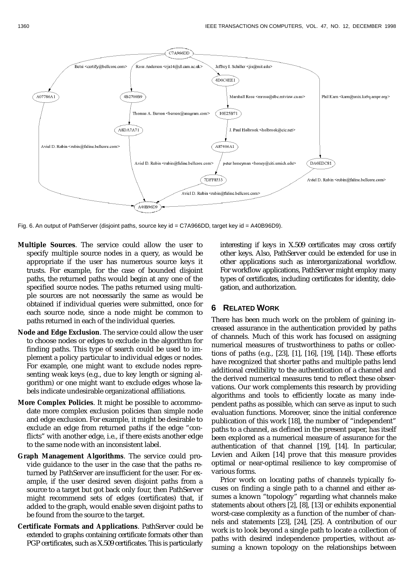

Fig. 6. An output of PathServer (disjoint paths, source key id = C7A966DD, target key id = A40B96D9).

- **Multiple Sources**. The service could allow the user to specify multiple source nodes in a query, as would be appropriate if the user has numerous source keys it trusts. For example, for the case of bounded disjoint paths, the returned paths would begin at any one of the specified source nodes. The paths returned using multiple sources are not necessarily the same as would be obtained if individual queries were submitted, once for each source node, since a node might be common to paths returned in each of the individual queries.
- **Node and Edge Exclusion**. The service could allow the user to choose nodes or edges to exclude in the algorithm for finding paths. This type of search could be used to implement a policy particular to individual edges or nodes. For example, one might want to exclude nodes representing weak keys (e.g., due to key length or signing algorithm) or one might want to exclude edges whose labels indicate undesirable organizational affiliations.
- **More Complex Policies**. It might be possible to accommodate more complex exclusion policies than simple node and edge exclusion. For example, it might be desirable to exclude an edge from returned paths if the edge "conflicts" with another edge, i.e., if there exists another edge to the same node with an inconsistent label.
- **Graph Management Algorithms**. The service could provide guidance to the user in the case that the paths returned by PathServer are insufficient for the user. For example, if the user desired seven disjoint paths from a source to a target but got back only four, then PathServer might recommend sets of edges (certificates) that, if added to the graph, would enable seven disjoint paths to be found from the source to the target.
- **Certificate Formats and Applications**. PathServer could be extended to graphs containing certificate formats other than PGP certificates, such as X.509 certificates. This is particularly

interesting if keys in X.509 certificates may cross certify other keys. Also, PathServer could be extended for use in other applications such as interorganizational workflow. For workflow applications, PathServer might employ many types of certificates, including certificates for identity, delegation, and authorization.

## **6 RELATED WORK**

There has been much work on the problem of gaining increased assurance in the authentication provided by paths of channels. Much of this work has focused on assigning numerical measures of trustworthiness to paths or collections of paths (e.g., [23], [1], [16], [19], [14]). These efforts have recognized that shorter paths and multiple paths lend additional credibility to the authentication of a channel and the derived numerical measures tend to reflect these observations. Our work complements this research by providing algorithms and tools to efficiently locate as many independent paths as possible, which can serve as input to such evaluation functions. Moreover, since the initial conference publication of this work [18], the number of "independent" paths to a channel, as defined in the present paper, has itself been explored as a numerical measure of assurance for the authentication of that channel [19], [14]. In particular, Levien and Aiken [14] prove that this measure provides optimal or near-optimal resilience to key compromise of various forms.

Prior work on locating paths of channels typically focuses on finding a single path to a channel and either assumes a known "topology" regarding what channels make statements about others [2], [8], [13] or exhibits exponential worst-case complexity as a function of the number of channels and statements [23], [24], [25]. A contribution of our work is to look beyond a single path to locate a collection of paths with desired independence properties, without assuming a known topology on the relationships between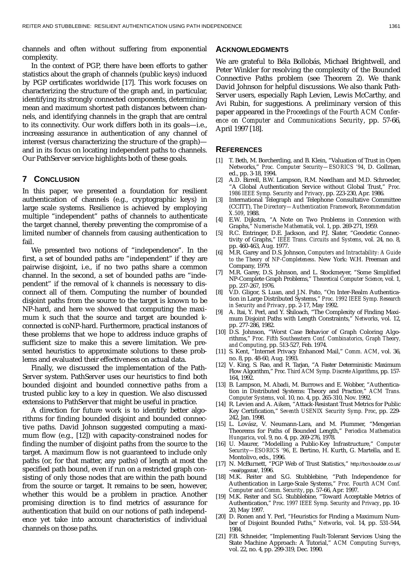channels and often without suffering from exponential complexity.

In the context of PGP, there have been efforts to gather statistics about the graph of channels (public keys) induced by PGP certificates worldwide [17]. This work focuses on characterizing the structure of the graph and, in particular, identifying its strongly connected components, determining mean and maximum shortest path distances between channels, and identifying channels in the graph that are central to its connectivity. Our work differs both in its goals—i.e., increasing assurance in authentication of any channel of interest (versus characterizing the structure of the graph) and in its focus on locating independent paths to channels. Our PathServer service highlights both of these goals.

## **7 CONCLUSION**

In this paper, we presented a foundation for resilient authentication of channels (e.g., cryptographic keys) in large scale systems. Resilience is achieved by employing multiple "independent" paths of channels to authenticate the target channel, thereby preventing the compromise of a limited number of channels from causing authentication to fail.

We presented two notions of "independence". In the first, a set of bounded paths are "independent" if they are pairwise disjoint, i.e., if no two paths share a common channel. In the second, a set of bounded paths are "independent" if the removal of *k* channels is necessary to disconnect all of them. Computing the number of bounded disjoint paths from the source to the target is known to be NP-hard, and here we showed that computing the maximum *k* such that the source and target are bounded *k*connected is coNP-hard. Furthermore, practical instances of these problems that we hope to address induce graphs of sufficient size to make this a severe limitation. We presented heuristics to approximate solutions to these problems and evaluated their effectiveness on actual data.

Finally, we discussed the implementation of the Path-Server system. PathServer uses our heuristics to find both bounded disjoint and bounded connective paths from a trusted public key to a key in question. We also discussed extensions to PathServer that might be useful in practice.

A direction for future work is to identify better algorithms for finding bounded disjoint and bounded connective paths. David Johnson suggested computing a maximum flow (e.g., [12]) with capacity-constrained nodes for finding the number of disjoint paths from the source to the target. A maximum flow is not guaranteed to include only paths (or, for that matter, any paths) of length at most the specified path bound, even if run on a restricted graph consisting of only those nodes that are within the path bound from the source or target. It remains to be seen, however, whether this would be a problem in practice. Another promising direction is to find metrics of assurance for authentication that build on our notions of path independence yet take into account characteristics of individual channels on those paths.

#### **ACKNOWLEDGMENTS**

We are grateful to Béla Bollobás, Michael Brightwell, and Peter Winkler for resolving the complexity of the Bounded Connective Paths problem (see Theorem 2). We thank David Johnson for helpful discussions. We also thank Path-Server users, especially Raph Levien, Lewis McCarthy, and Avi Rubin, for suggestions. A preliminary version of this paper appeared in the *Proceedings of the Fourth ACM Conference on Computer and Communications Security*, pp. 57-66, April 1997 [18].

#### **REFERENCES**

- [1] T. Beth, M. Borcherding, and B. Klein, "Valuation of Trust in Open Networks," *Proc. Computer Security—ESORICS '94*, D. Gollman, ed., pp. 3-18, 1994.
- [2] A.D. Birrell, B.W. Lampson, R.M. Needham and M.D. Schroeder, "A Global Authentication Service without Global Trust," *Proc. 1986 IEEE Symp. Security and Privacy*, pp. 223-230, Apr. 1986.
- International Telegraph and Telephone Consultative Committee (CCITT), *The Directory—Authentication Framework, Recommendation X.509*, 1988.
- [4] E.W. Dijkstra, "A Note on Two Problems in Connexion with Graphs," *Numerische Mathematik*, vol. 1, pp. 269-271, 1959.
- [5] R.C. Entringer, D.E. Jackson, and P.J. Slater, "Geodetic Connectivity of Graphs," *IEEE Trans. Circuits and Systems*, vol. 24, no. 8, pp. 460-463, Aug. 1977.
- [6] M.R. Garey and D.S. Johnson, *Computers and Intractability: A Guide to the Theory of NP-Completeness*. New York: W.H. Freeman and Company, 1979.
- [7] M.R. Garey, D.S. Johnson, and L. Stockmeyer, "Some Simplified NP-Complete Graph Problems," *Theoretical Computer Science*, vol. 1, pp. 237-267, 1976.
- [8] V.D. Gligor, S. Luan, and J.N. Pato, "On Inter-Realm Authentication in Large Distributed Systems," *Proc. 1992 IEEE Symp. Research in Security and Privacy*, pp. 2-17, May 1992.
- [9] A. Itai, Y. Perl, and Y. Shiloach, "The Complexity of Finding Maximum Disjoint Paths with Length Constraints," *Networks*, vol. 12, pp. 277-286, 1982.
- [10] D.S. Johnson, "Worst Case Behavior of Graph Coloring Algorithms," *Proc. Fifth Southeastern Conf. Combinatorics, Graph Theory, and Computing*, pp. 513-527, Feb. 1974.
- [11] S. Kent, "Internet Privacy Enhanced Mail," *Comm. ACM*, vol. 36, no. 8, pp. 48-60, Aug. 1993.
- [12] V. King, S. Rao, and R. Tarjan, "A Faster Deterministic Maximum Flow Algorithm," *Proc. Third ACM Symp. Discrete Algorithms*, pp. 157- 164, 1992.
- [13] B. Lampson, M. Abadi, M. Burrows and E. Wobber, "Authentication in Distributed Systems: Theory and Practice," *ACM Trans. Computer Systems*, vol. 10, no. 4, pp. 265-310, Nov. 1992.
- [14] R. Levien and A. Aiken, "Attack-Resistant Trust Metrics for Public Key Certification," *Seventh USENIX Security Symp. Proc*, pp. 229- 242, Jan. 1998.
- [15] L. Lovász, V. Neumann-Lara, and M. Plummer, "Mengerian Theorems for Paths of Bounded Length," *Periodica Mathematica Hungarica*, vol. 9, no. 4, pp. 269-276, 1978.
- [16] U. Maurer, "Modelling a Public-Key Infrastructure," *Computer Security—ESORICS '96*, E. Bertino, H. Kurth, G. Martella, and E. Montolivo, eds., 1996.
- [17] N. McBurnett, "PGP Web of Trust Statistics," http://bcn.boulder.co.us/ ~neal/pgpstat/, 1996.
- [18] M.K. Reiter and S.G. Stubblebine, "Path Independence for Authentication in Large-Scale Systems," *Proc. Fourth ACM Conf. Computer and Comm. Security*, pp. 57-66, Apr. 1997.
- [19] M.K. Reiter and S.G. Stubblebine, "Toward Acceptable Metrics of Authentication," *Proc. 1997 IEEE Symp. Security and Privacy*, pp. 10- 20, May 1997.
- [20] D. Ronen and Y. Perl, "Heuristics for Finding a Maximum Number of Disjoint Bounded Paths," *Networks*, vol. 14, pp. 531-544, 1984.
- [21] F.B. Schneider, "Implementing Fault-Tolerant Services Using the State Machine Approach: A Tutorial," *ACM Computing Surveys*, vol. 22, no. 4, pp. 299-319, Dec. 1990.